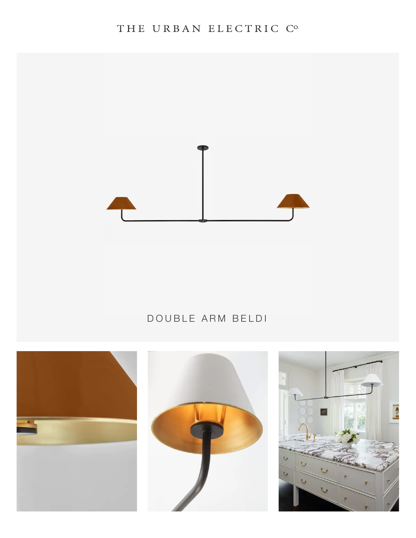## THE URBAN ELECTRIC C°



## DOUBLE ARM BELDI





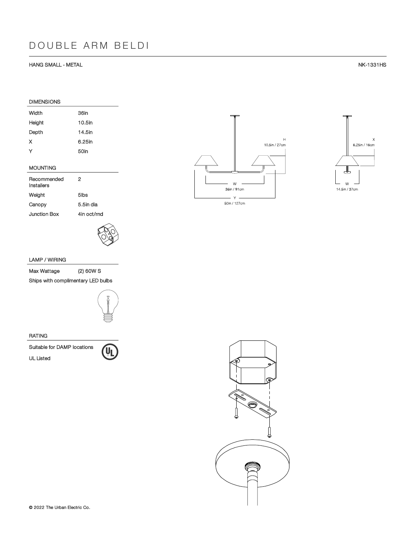#### HANG SMALL - METAL NK-1331HS

## DIMENSIONS Width 36in Height 10.5in Depth 14.5in X 6.25in Y 50in

### MOUNTING

| Recommended<br>Installers | 2           |
|---------------------------|-------------|
| Weight                    | 5lbs        |
| Canopy                    | 5.5in dia   |
| Junction Box              | 4in oct/rnd |



### LAMP / WIRING

Max Wattage (2) 60W S

Ships with complimentary LED bulbs



#### RATING







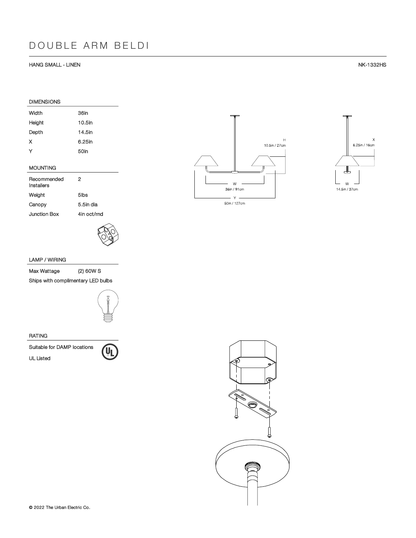#### HANG SMALL - LINEN NK-1332HS

## DIMENSIONS Width 36in Height 10.5in Depth 14.5in X 6.25in Y 50in

### MOUNTING

| Recommended<br>Installers | 2           |
|---------------------------|-------------|
| Weight                    | 5lbs        |
| Canopy                    | 5.5in dia   |
| Junction Box              | 4in oct/rnd |



### LAMP / WIRING

Max Wattage (2) 60W S

Ships with complimentary LED bulbs



#### RATING

Suitable for DAMP locations<br>UL Listed







 $\bar{H}$ 

10.5in / 27cm

 $\bar{\mathsf{W}}$ 

36in / 91cm  $\bar{\bf y}$  . 50in / 127cm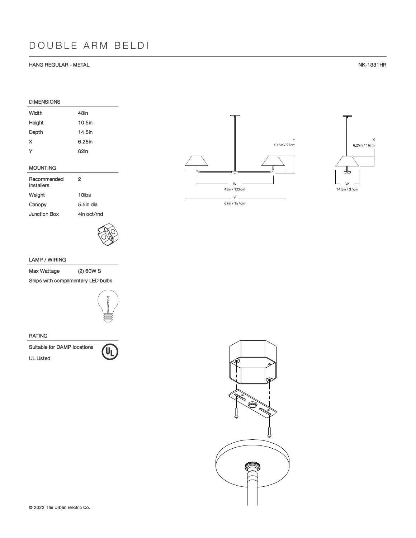#### HANG REGULAR - METAL NK-1331HR

| <b>DIMENSIONS</b> |           |
|-------------------|-----------|
| Width             | 48in      |
| Height            | $10.5$ in |
| Depth             | 14.5in    |
| х                 | 6.25in    |
| Y                 | 62in      |
|                   |           |
| <b>MOUNTING</b>   |           |

| Recommended<br>Installers | 2           |
|---------------------------|-------------|
| Weight                    | 10lbs       |
| Canopy                    | 5.5in dia   |
| Junction Box              | 4in oct/rnd |



### LAMP / WIRING

Max Wattage (2) 60W S

Ships with complimentary LED bulbs



#### RATING







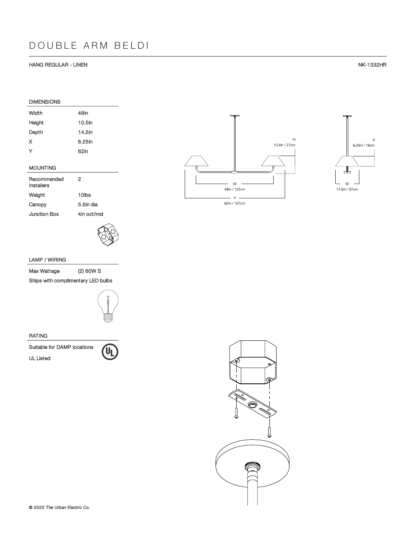#### HANG REGULAR - LINEN NK-1332HR

| <b>DIMENSIONS</b> |        |
|-------------------|--------|
| Width             | 48in   |
| Height            | 10.5in |
| Depth             | 14.5in |
| x                 | 6.25in |
| Y                 | 62in   |
|                   |        |
| <b>MOUNTING</b>   |        |
|                   |        |

| Recommended<br>Installers | 2           |
|---------------------------|-------------|
| Weight                    | 10lbs       |
| Canopy                    | 5.5in dia   |
| Junction Box              | 4in oct/rnd |



### LAMP / WIRING

Max Wattage (2) 60W S

Ships with complimentary LED bulbs



#### RATING







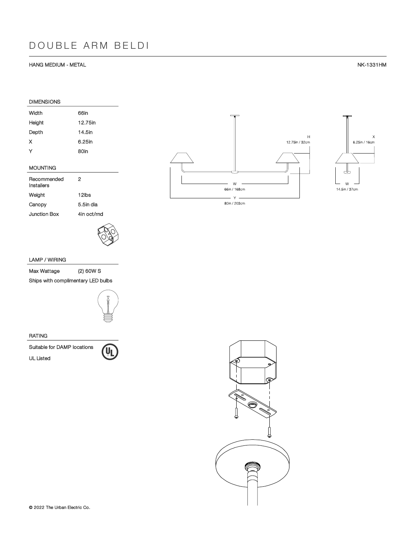#### HANG MEDIUM - METAL NK-1331HM

| <b>DIMENSIONS</b>         |           |
|---------------------------|-----------|
| Width                     | 66in      |
| Height                    | 12.75in   |
| Depth                     | 14.5in    |
| x                         | 6.25in    |
| Y                         | 80in      |
| <b>MOUNTING</b>           |           |
| Recommended<br>Installers | 2         |
| Weight                    | 12lbs     |
| Canopy                    | 5.5in dia |

Junction Box 4in oct/rnd



### LAMP / WIRING

Max Wattage (2) 60W S

Ships with complimentary LED bulbs



#### RATING

Suitable for DAMP locations<br>UL Listed







 $\bar{\mathsf{Y}}$  . 80in / 203cm

 $W$ 

66in / 168cm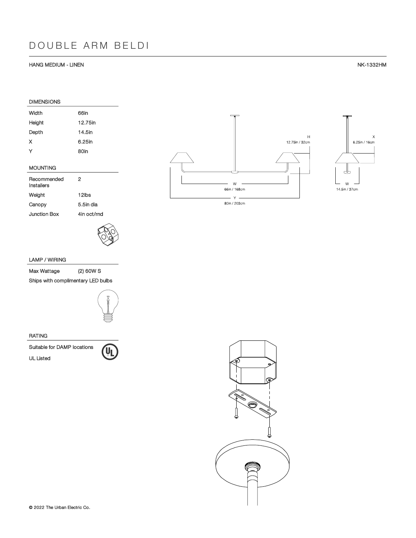#### HANG MEDIUM - LINEN NK-1332HM

 $\bar{\mathsf{X}}$ 

| <b>DIMENSIONS</b>         |           |
|---------------------------|-----------|
| Width                     | 66in      |
| Height                    | 12.75in   |
| Depth                     | 14.5in    |
| X                         | 6.25in    |
| Y                         | 80in      |
| <b>MOUNTING</b>           |           |
| Recommended<br>Installers | 2         |
| Weight                    | 12lbs     |
| Canopy                    | 5.5in dia |

Junction Box 4in oct/rnd

### LAMP / WIRING

Max Wattage (2) 60W S

Ships with complimentary LED bulbs



#### RATING

Suitable for DAMP locations<br>UL Listed





80in / 203cm

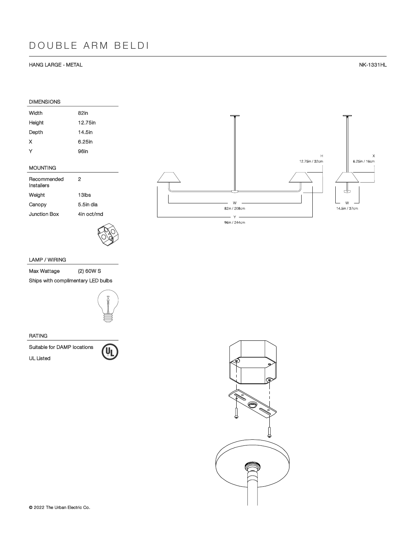#### HANG LARGE - METAL NK-1331HL

| <b>DIMENSIONS</b> |         |
|-------------------|---------|
| Width             | 82in    |
| Height            | 12.75in |
| Depth             | 14.5in  |
| x                 | 6.25in  |
| Y                 | 96in    |
|                   |         |

### MOUNTING

| Recommended<br>Installers | 2           |
|---------------------------|-------------|
| Weight                    | 13lbs       |
| Canopy                    | 5.5in dia   |
| Junction Box              | 4in oct/rnd |



## $\mathsf{H}$  $\bar{\mathsf{x}}$ 6.25in / 16cm 12.75in / 32cm ┹  $\begin{array}{c} \square \\ \square \\ \square \end{array}$  14.5in / 37cm  $\mathsf{W}$ 82in / 208cm  $Y =$ 96in / 244cm

### LAMP / WIRING

Max Wattage (2) 60W S

Ships with complimentary LED bulbs



#### RATING